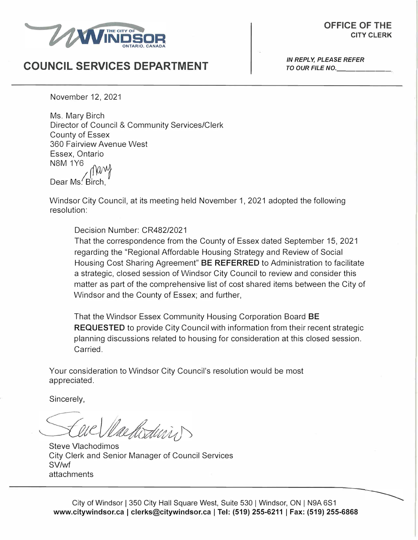

## *IN REPLY, PLEASE REFER* **COUNCIL SERVICES DEPARTMENT** *TO OUR FILE NO.*

------

November 12, 2021

Mang Ms. Mary Birch Director of Council & Community Services/Clerk County of Essex 360 Fairview Avenue West Essex, Ontario NSM 1Y6

Dear Ms. Birch

Windsor City Council, at its meeting held November 1, 2021 adopted the following resolution:

Decision Number: CR482/2021

That the correspondence from the County of Essex dated September 15, 2021 regarding the "Regional Affordable Housing Strategy and Review of Social Housing Cost Sharing Agreement" **BE REFERRED** to Administration to facilitate a strategic, closed session of Windsor City Council to review and consider this matter as part of the comprehensive list of cost shared items between the City of Windsor and the County of Essex; and further,

That the Windsor Essex Community Housing Corporation Board **BE REQUESTED** to provide City Council with information from their recent strategic planning discussions related to housing for consideration at this closed session. Carried.

Your consideration to Windsor City Council's resolution would be most appreciated.

Sincerely,

Nachodinis

Steve Vlachodimos City Clerk and Senior Manager of Council Services SV/wfattachments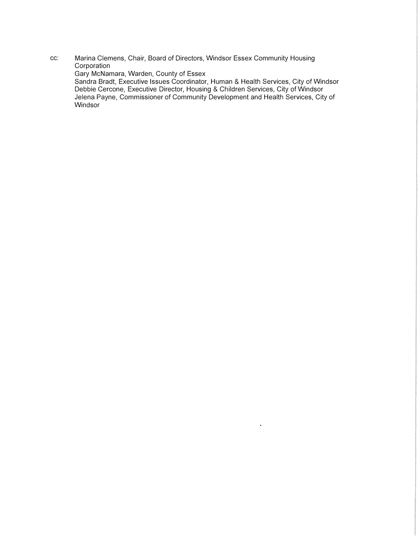**cc: Marina Clemens, Chair, Board of Directors, Windsor Essex Community Housing Corporation** 

**Gary McNamara, Warden, County of Essex** 

**Sandra Bradt, Executive Issues Coordinator, Human & Health Services, City of Windsor Debbie Cercone, Executive Director, Housing & Children Services, City of Windsor Jelena Payne, Commissioner of Community Development and Health Services, City of Windsor** 

 $\hat{\mathbf{r}}$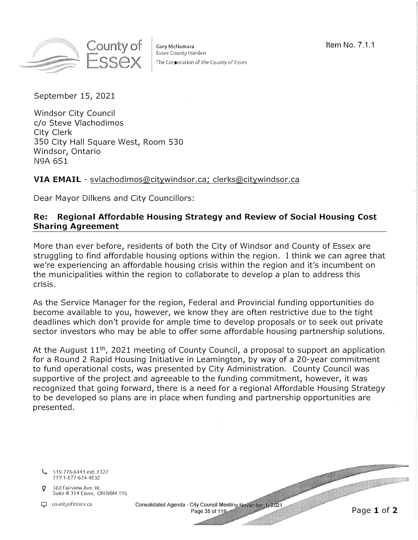

Gary McNamara 2008 and 2008 and 2008 and 2008 and 2008 and 2008 and 2008 and 2008 and 2008 and 2008 and 2008 and 2008 and 2008 and 2008 and 2008 and 2008 and 2008 and 2008 and 2008 and 2008 and 2008 and 2008 and 2008 and 2 Essex County Warden The Corporation of the County of Essex

September 15, 2021

Windsor City Council c/o Steve Vlachodimos City Clerk 350 City Hall Square West, Room 530 Windsor, Ontario N9A 6S1

## **VIA EMAIL** - [svlachodimos@citywindsor.ca;](mailto:svlachodimos@citywindsor.ca) [clerks@citywindsor.ca](mailto:clerks@citywindsor.ca)

Dear Mayor Dilkens and City Councillors:

## **Re: Regional Affordable Housing Strategy and Review of Social Housing Cost Sharing Agreement**

More than ever before, residents of both the City of Windsor and County of Essex are struggling to find affordable housing options within the region. I think we can agree that we're experiencing an affordable housing crisis within the region and it's incumbent on the municipalities within the region to collaborate to develop a plan to address this crisis.

As the Service Manager for the region, Federal and Provincial funding opportunities do become available to you, however, we know they are often restrictive due to the tight deadlines which don't provide for ample time to develop proposals or to seek out private sector investors who may be able to offer some affordable housing partnership solutions.

At the August  $11<sup>th</sup>$ , 2021 meeting of County Council, a proposal to support an application for a Round 2 Rapid Housing Initiative in Leamington, by way of a 20-year commitment to fund operational costs, was presented by City Administration. County Council was supportive of the project and agreeable to the funding commitment, however, it was recognized that going forward, there is a need for a regional Affordable Housing Strategy to be developed so plans are in place when funding and partnership opportunities are presented.

519-776-6441 ext. 1327 TTY 1-877-624-4832

 $\beta$  360 Fairview Ave. W.<br>Suite # 314 Essex, ON N8M 1Y6

Countyofessex.ca Consolidated Agenda - City Council Meeting November 1, 2021<br>Page 35 of 119

Page 1 of 2